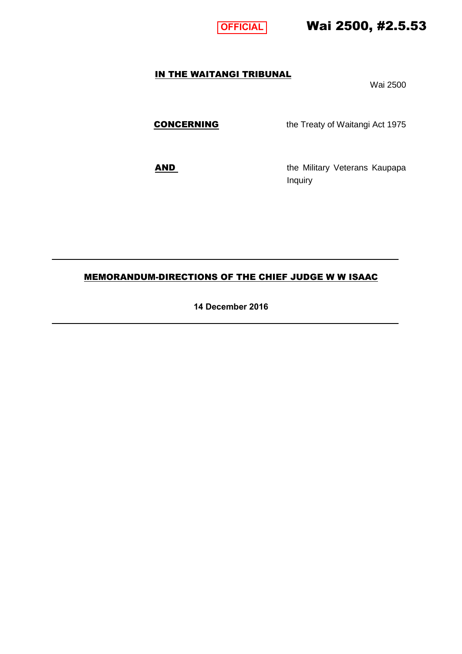

# Wai 2500, #2.5.53

## IN THE WAITANGI TRIBUNAL

Wai 2500

**CONCERNING** the Treaty of Waitangi Act 1975

AND the Military Veterans Kaupapa Inquiry

### MEMORANDUM-DIRECTIONS OF THE CHIEF JUDGE W W ISAAC

**14 December 2016**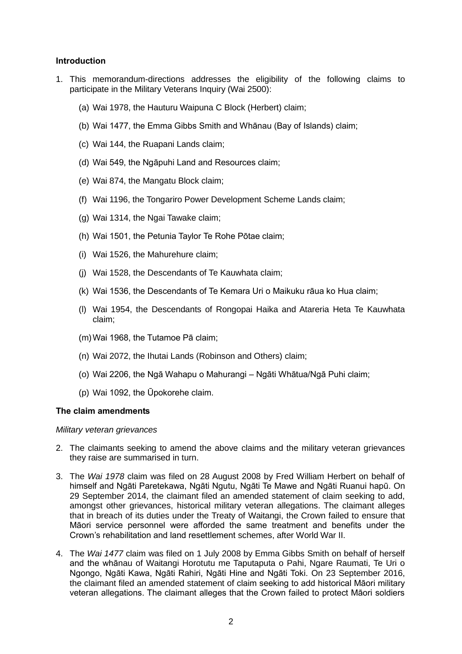#### **Introduction**

- 1. This memorandum-directions addresses the eligibility of the following claims to participate in the Military Veterans Inquiry (Wai 2500):
	- (a) Wai 1978, the Hauturu Waipuna C Block (Herbert) claim;
	- (b) Wai 1477, the Emma Gibbs Smith and Whānau (Bay of Islands) claim;
	- (c) Wai 144, the Ruapani Lands claim;
	- (d) Wai 549, the Ngāpuhi Land and Resources claim;
	- (e) Wai 874, the Mangatu Block claim;
	- (f) Wai 1196, the Tongariro Power Development Scheme Lands claim;
	- (g) Wai 1314, the Ngai Tawake claim;
	- (h) Wai 1501, the Petunia Taylor Te Rohe Pōtae claim;
	- (i) Wai 1526, the Mahurehure claim;
	- (j) Wai 1528, the Descendants of Te Kauwhata claim;
	- (k) Wai 1536, the Descendants of Te Kemara Uri o Maikuku rāua ko Hua claim;
	- (l) Wai 1954, the Descendants of Rongopai Haika and Atareria Heta Te Kauwhata claim;
	- (m)Wai 1968, the Tutamoe Pā claim;
	- (n) Wai 2072, the Ihutai Lands (Robinson and Others) claim;
	- (o) Wai 2206, the Ngā Wahapu o Mahurangi Ngāti Whātua/Ngā Puhi claim;
	- (p) Wai 1092, the Ūpokorehe claim.

#### **The claim amendments**

#### *Military veteran grievances*

- 2. The claimants seeking to amend the above claims and the military veteran grievances they raise are summarised in turn.
- 3. The *Wai 1978* claim was filed on 28 August 2008 by Fred William Herbert on behalf of himself and Ngāti Paretekawa, Ngāti Ngutu, Ngāti Te Mawe and Ngāti Ruanui hapū. On 29 September 2014, the claimant filed an amended statement of claim seeking to add, amongst other grievances, historical military veteran allegations. The claimant alleges that in breach of its duties under the Treaty of Waitangi, the Crown failed to ensure that Māori service personnel were afforded the same treatment and benefits under the Crown's rehabilitation and land resettlement schemes, after World War II.
- 4. The *Wai 1477* claim was filed on 1 July 2008 by Emma Gibbs Smith on behalf of herself and the whānau of Waitangi Horotutu me Taputaputa o Pahi, Ngare Raumati, Te Uri o Ngongo, Ngāti Kawa, Ngāti Rahiri, Ngāti Hine and Ngāti Toki. On 23 September 2016, the claimant filed an amended statement of claim seeking to add historical Māori military veteran allegations. The claimant alleges that the Crown failed to protect Māori soldiers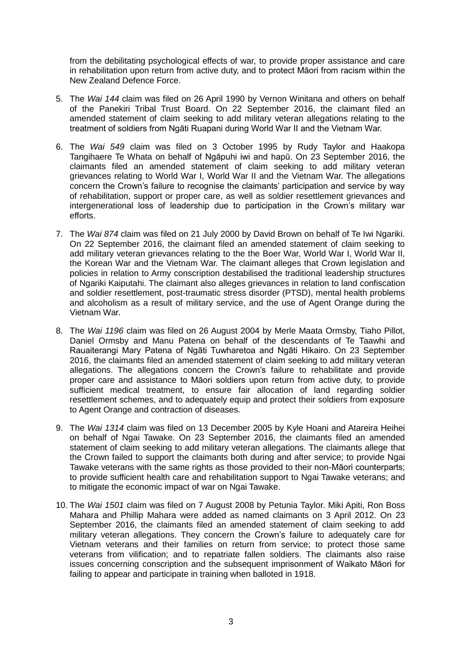from the debilitating psychological effects of war, to provide proper assistance and care in rehabilitation upon return from active duty, and to protect Māori from racism within the New Zealand Defence Force.

- 5. The *Wai 144* claim was filed on 26 April 1990 by Vernon Winitana and others on behalf of the Panekiri Tribal Trust Board. On 22 September 2016, the claimant filed an amended statement of claim seeking to add military veteran allegations relating to the treatment of soldiers from Ngāti Ruapani during World War II and the Vietnam War.
- 6. The *Wai 549* claim was filed on 3 October 1995 by Rudy Taylor and Haakopa Tangihaere Te Whata on behalf of Ngāpuhi iwi and hapū. On 23 September 2016, the claimants filed an amended statement of claim seeking to add military veteran grievances relating to World War I, World War II and the Vietnam War. The allegations concern the Crown's failure to recognise the claimants' participation and service by way of rehabilitation, support or proper care, as well as soldier resettlement grievances and intergenerational loss of leadership due to participation in the Crown's military war efforts.
- 7. The *Wai 874* claim was filed on 21 July 2000 by David Brown on behalf of Te Iwi Ngariki. On 22 September 2016, the claimant filed an amended statement of claim seeking to add military veteran grievances relating to the the Boer War, World War I, World War II, the Korean War and the Vietnam War. The claimant alleges that Crown legislation and policies in relation to Army conscription destabilised the traditional leadership structures of Ngariki Kaiputahi. The claimant also alleges grievances in relation to land confiscation and soldier resettlement, post-traumatic stress disorder (PTSD), mental health problems and alcoholism as a result of military service, and the use of Agent Orange during the Vietnam War.
- 8. The *Wai 1196* claim was filed on 26 August 2004 by Merle Maata Ormsby, Tiaho Pillot, Daniel Ormsby and Manu Patena on behalf of the descendants of Te Taawhi and Rauaiterangi Mary Patena of Ngāti Tuwharetoa and Ngāti Hikairo. On 23 September 2016, the claimants filed an amended statement of claim seeking to add military veteran allegations. The allegations concern the Crown's failure to rehabilitate and provide proper care and assistance to Māori soldiers upon return from active duty, to provide sufficient medical treatment, to ensure fair allocation of land regarding soldier resettlement schemes, and to adequately equip and protect their soldiers from exposure to Agent Orange and contraction of diseases.
- 9. The *Wai 1314* claim was filed on 13 December 2005 by Kyle Hoani and Atareira Heihei on behalf of Ngai Tawake. On 23 September 2016, the claimants filed an amended statement of claim seeking to add military veteran allegations. The claimants allege that the Crown failed to support the claimants both during and after service; to provide Ngai Tawake veterans with the same rights as those provided to their non-Māori counterparts; to provide sufficient health care and rehabilitation support to Ngai Tawake veterans; and to mitigate the economic impact of war on Ngai Tawake.
- 10. The *Wai 1501* claim was filed on 7 August 2008 by Petunia Taylor. Miki Apiti, Ron Boss Mahara and Phillip Mahara were added as named claimants on 3 April 2012. On 23 September 2016, the claimants filed an amended statement of claim seeking to add military veteran allegations. They concern the Crown's failure to adequately care for Vietnam veterans and their families on return from service; to protect those same veterans from vilification; and to repatriate fallen soldiers. The claimants also raise issues concerning conscription and the subsequent imprisonment of Waikato Māori for failing to appear and participate in training when balloted in 1918.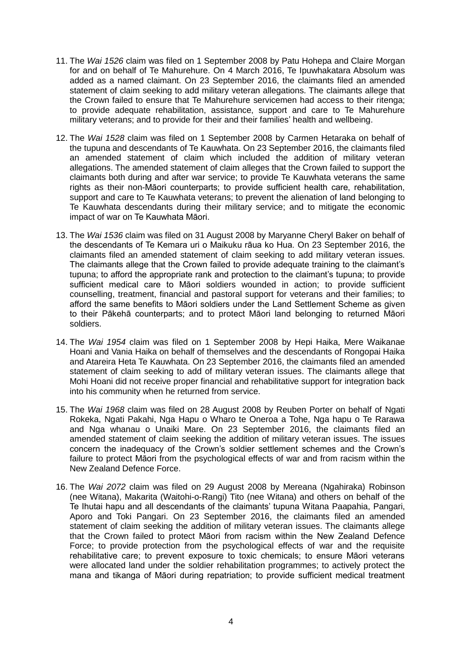- 11. The *Wai 1526* claim was filed on 1 September 2008 by Patu Hohepa and Claire Morgan for and on behalf of Te Mahurehure. On 4 March 2016, Te Ipuwhakatara Absolum was added as a named claimant. On 23 September 2016, the claimants filed an amended statement of claim seeking to add military veteran allegations. The claimants allege that the Crown failed to ensure that Te Mahurehure servicemen had access to their ritenga; to provide adequate rehabilitation, assistance, support and care to Te Mahurehure military veterans; and to provide for their and their families' health and wellbeing.
- 12. The *Wai 1528* claim was filed on 1 September 2008 by Carmen Hetaraka on behalf of the tupuna and descendants of Te Kauwhata. On 23 September 2016, the claimants filed an amended statement of claim which included the addition of military veteran allegations. The amended statement of claim alleges that the Crown failed to support the claimants both during and after war service; to provide Te Kauwhata veterans the same rights as their non-Māori counterparts; to provide sufficient health care, rehabilitation, support and care to Te Kauwhata veterans; to prevent the alienation of land belonging to Te Kauwhata descendants during their military service; and to mitigate the economic impact of war on Te Kauwhata Māori.
- 13. The *Wai 1536* claim was filed on 31 August 2008 by Maryanne Cheryl Baker on behalf of the descendants of Te Kemara uri o Maikuku rāua ko Hua. On 23 September 2016, the claimants filed an amended statement of claim seeking to add military veteran issues. The claimants allege that the Crown failed to provide adequate training to the claimant's tupuna; to afford the appropriate rank and protection to the claimant's tupuna; to provide sufficient medical care to Māori soldiers wounded in action; to provide sufficient counselling, treatment, financial and pastoral support for veterans and their families; to afford the same benefits to Māori soldiers under the Land Settlement Scheme as given to their Pākehā counterparts; and to protect Māori land belonging to returned Māori soldiers.
- 14. The *Wai 1954* claim was filed on 1 September 2008 by Hepi Haika, Mere Waikanae Hoani and Vania Haika on behalf of themselves and the descendants of Rongopai Haika and Atareira Heta Te Kauwhata. On 23 September 2016, the claimants filed an amended statement of claim seeking to add of military veteran issues. The claimants allege that Mohi Hoani did not receive proper financial and rehabilitative support for integration back into his community when he returned from service.
- 15. The *Wai 1968* claim was filed on 28 August 2008 by Reuben Porter on behalf of Ngati Rokeka, Ngati Pakahi, Nga Hapu o Wharo te Oneroa a Tohe, Nga hapu o Te Rarawa and Nga whanau o Unaiki Mare. On 23 September 2016, the claimants filed an amended statement of claim seeking the addition of military veteran issues. The issues concern the inadequacy of the Crown's soldier settlement schemes and the Crown's failure to protect Māori from the psychological effects of war and from racism within the New Zealand Defence Force.
- 16. The *Wai 2072* claim was filed on 29 August 2008 by Mereana (Ngahiraka) Robinson (nee Witana), Makarita (Waitohi-o-Rangi) Tito (nee Witana) and others on behalf of the Te Ihutai hapu and all descendants of the claimants' tupuna Witana Paapahia, Pangari, Aporo and Toki Pangari. On 23 September 2016, the claimants filed an amended statement of claim seeking the addition of military veteran issues. The claimants allege that the Crown failed to protect Māori from racism within the New Zealand Defence Force; to provide protection from the psychological effects of war and the requisite rehabilitative care; to prevent exposure to toxic chemicals; to ensure Māori veterans were allocated land under the soldier rehabilitation programmes; to actively protect the mana and tikanga of Māori during repatriation; to provide sufficient medical treatment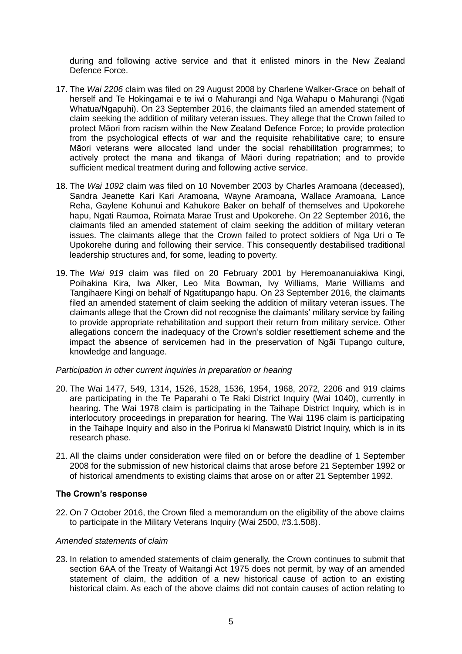during and following active service and that it enlisted minors in the New Zealand Defence Force.

- 17. The *Wai 2206* claim was filed on 29 August 2008 by Charlene Walker-Grace on behalf of herself and Te Hokingamai e te iwi o Mahurangi and Nga Wahapu o Mahurangi (Ngati Whatua/Ngapuhi). On 23 September 2016, the claimants filed an amended statement of claim seeking the addition of military veteran issues. They allege that the Crown failed to protect Māori from racism within the New Zealand Defence Force; to provide protection from the psychological effects of war and the requisite rehabilitative care; to ensure Māori veterans were allocated land under the social rehabilitation programmes; to actively protect the mana and tikanga of Māori during repatriation; and to provide sufficient medical treatment during and following active service.
- 18. The *Wai 1092* claim was filed on 10 November 2003 by Charles Aramoana (deceased), Sandra Jeanette Kari Kari Aramoana, Wayne Aramoana, Wallace Aramoana, Lance Reha, Gaylene Kohunui and Kahukore Baker on behalf of themselves and Upokorehe hapu, Ngati Raumoa, Roimata Marae Trust and Upokorehe. On 22 September 2016, the claimants filed an amended statement of claim seeking the addition of military veteran issues. The claimants allege that the Crown failed to protect soldiers of Nga Uri o Te Upokorehe during and following their service. This consequently destabilised traditional leadership structures and, for some, leading to poverty.
- 19. The *Wai 919* claim was filed on 20 February 2001 by Heremoananuiakiwa Kingi, Poihakina Kira, Iwa Alker, Leo Mita Bowman, Ivy Williams, Marie Williams and Tangihaere Kingi on behalf of Ngatitupango hapu. On 23 September 2016, the claimants filed an amended statement of claim seeking the addition of military veteran issues. The claimants allege that the Crown did not recognise the claimants' military service by failing to provide appropriate rehabilitation and support their return from military service. Other allegations concern the inadequacy of the Crown's soldier resettlement scheme and the impact the absence of servicemen had in the preservation of Ngāi Tupango culture, knowledge and language.

#### *Participation in other current inquiries in preparation or hearing*

- 20. The Wai 1477, 549, 1314, 1526, 1528, 1536, 1954, 1968, 2072, 2206 and 919 claims are participating in the Te Paparahi o Te Raki District Inquiry (Wai 1040), currently in hearing. The Wai 1978 claim is participating in the Taihape District Inquiry, which is in interlocutory proceedings in preparation for hearing. The Wai 1196 claim is participating in the Taihape Inquiry and also in the Porirua ki Manawatū District Inquiry, which is in its research phase.
- 21. All the claims under consideration were filed on or before the deadline of 1 September 2008 for the submission of new historical claims that arose before 21 September 1992 or of historical amendments to existing claims that arose on or after 21 September 1992.

#### **The Crown's response**

22. On 7 October 2016, the Crown filed a memorandum on the eligibility of the above claims to participate in the Military Veterans Inquiry (Wai 2500, #3.1.508).

#### *Amended statements of claim*

23. In relation to amended statements of claim generally, the Crown continues to submit that section 6AA of the Treaty of Waitangi Act 1975 does not permit, by way of an amended statement of claim, the addition of a new historical cause of action to an existing historical claim. As each of the above claims did not contain causes of action relating to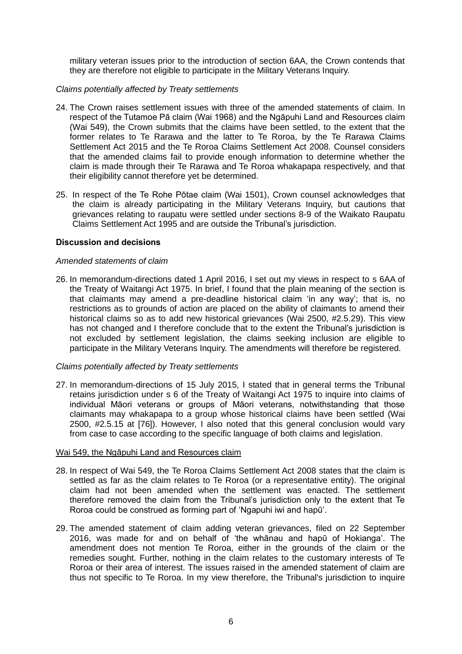military veteran issues prior to the introduction of section 6AA, the Crown contends that they are therefore not eligible to participate in the Military Veterans Inquiry.

#### *Claims potentially affected by Treaty settlements*

- 24. The Crown raises settlement issues with three of the amended statements of claim. In respect of the Tutamoe Pā claim (Wai 1968) and the Ngāpuhi Land and Resources claim (Wai 549), the Crown submits that the claims have been settled, to the extent that the former relates to Te Rarawa and the latter to Te Roroa, by the Te Rarawa Claims Settlement Act 2015 and the Te Roroa Claims Settlement Act 2008. Counsel considers that the amended claims fail to provide enough information to determine whether the claim is made through their Te Rarawa and Te Roroa whakapapa respectively, and that their eligibility cannot therefore yet be determined.
- 25. In respect of the Te Rohe Pōtae claim (Wai 1501), Crown counsel acknowledges that the claim is already participating in the Military Veterans Inquiry, but cautions that grievances relating to raupatu were settled under sections 8-9 of the Waikato Raupatu Claims Settlement Act 1995 and are outside the Tribunal's jurisdiction.

#### **Discussion and decisions**

#### *Amended statements of claim*

26. In memorandum-directions dated 1 April 2016, I set out my views in respect to s 6AA of the Treaty of Waitangi Act 1975. In brief, I found that the plain meaning of the section is that claimants may amend a pre-deadline historical claim 'in any way'; that is, no restrictions as to grounds of action are placed on the ability of claimants to amend their historical claims so as to add new historical grievances (Wai 2500, #2.5.29). This view has not changed and I therefore conclude that to the extent the Tribunal's jurisdiction is not excluded by settlement legislation, the claims seeking inclusion are eligible to participate in the Military Veterans Inquiry. The amendments will therefore be registered.

#### *Claims potentially affected by Treaty settlements*

27. In memorandum-directions of 15 July 2015, I stated that in general terms the Tribunal retains jurisdiction under s 6 of the Treaty of Waitangi Act 1975 to inquire into claims of individual Māori veterans or groups of Māori veterans, notwithstanding that those claimants may whakapapa to a group whose historical claims have been settled (Wai 2500, #2.5.15 at [76]). However, I also noted that this general conclusion would vary from case to case according to the specific language of both claims and legislation.

#### Wai 549, the Ngāpuhi Land and Resources claim

- 28. In respect of Wai 549, the Te Roroa Claims Settlement Act 2008 states that the claim is settled as far as the claim relates to Te Roroa (or a representative entity). The original claim had not been amended when the settlement was enacted. The settlement therefore removed the claim from the Tribunal's jurisdiction only to the extent that Te Roroa could be construed as forming part of 'Ngapuhi iwi and hapū'.
- 29. The amended statement of claim adding veteran grievances, filed on 22 September 2016, was made for and on behalf of 'the whānau and hapū of Hokianga'. The amendment does not mention Te Roroa, either in the grounds of the claim or the remedies sought. Further, nothing in the claim relates to the customary interests of Te Roroa or their area of interest. The issues raised in the amended statement of claim are thus not specific to Te Roroa. In my view therefore, the Tribunal's jurisdiction to inquire